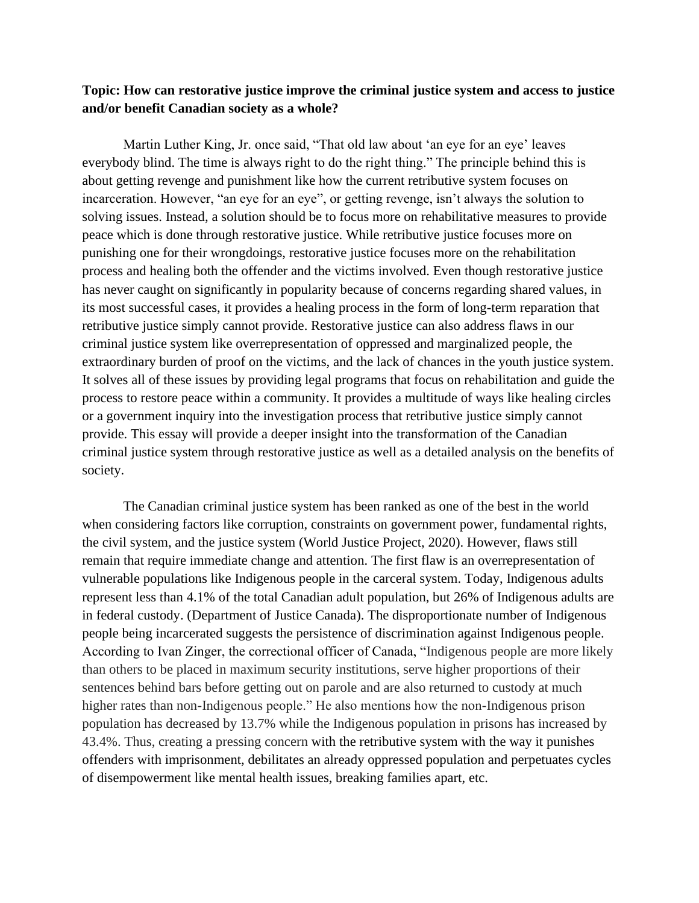## **Topic: How can restorative justice improve the criminal justice system and access to justice and/or benefit Canadian society as a whole?**

Martin Luther King, Jr. once said, "That old law about 'an eye for an eye' leaves everybody blind. The time is always right to do the right thing." The principle behind this is about getting revenge and punishment like how the current retributive system focuses on incarceration. However, "an eye for an eye", or getting revenge, isn't always the solution to solving issues. Instead, a solution should be to focus more on rehabilitative measures to provide peace which is done through restorative justice. While retributive justice focuses more on punishing one for their wrongdoings, restorative justice focuses more on the rehabilitation process and healing both the offender and the victims involved. Even though restorative justice has never caught on significantly in popularity because of concerns regarding shared values, in its most successful cases, it provides a healing process in the form of long-term reparation that retributive justice simply cannot provide. Restorative justice can also address flaws in our criminal justice system like overrepresentation of oppressed and marginalized people, the extraordinary burden of proof on the victims, and the lack of chances in the youth justice system. It solves all of these issues by providing legal programs that focus on rehabilitation and guide the process to restore peace within a community. It provides a multitude of ways like healing circles or a government inquiry into the investigation process that retributive justice simply cannot provide. This essay will provide a deeper insight into the transformation of the Canadian criminal justice system through restorative justice as well as a detailed analysis on the benefits of society.

The Canadian criminal justice system has been ranked as one of the best in the world when considering factors like corruption, constraints on government power, fundamental rights, the civil system, and the justice system (World Justice Project, 2020). However, flaws still remain that require immediate change and attention. The first flaw is an overrepresentation of vulnerable populations like Indigenous people in the carceral system. Today, Indigenous adults represent less than 4.1% of the total Canadian adult population, but 26% of Indigenous adults are in federal custody. (Department of Justice Canada). The disproportionate number of Indigenous people being incarcerated suggests the persistence of discrimination against Indigenous people. According to Ivan Zinger, the correctional officer of Canada, "Indigenous people are more likely than others to be placed in maximum security institutions, serve higher proportions of their sentences behind bars before getting out on parole and are also returned to custody at much higher rates than non-Indigenous people." He also mentions how the non-Indigenous prison population has decreased by 13.7% while the Indigenous population in prisons has increased by 43.4%. Thus, creating a pressing concern with the retributive system with the way it punishes offenders with imprisonment, debilitates an already oppressed population and perpetuates cycles of disempowerment like mental health issues, breaking families apart, etc.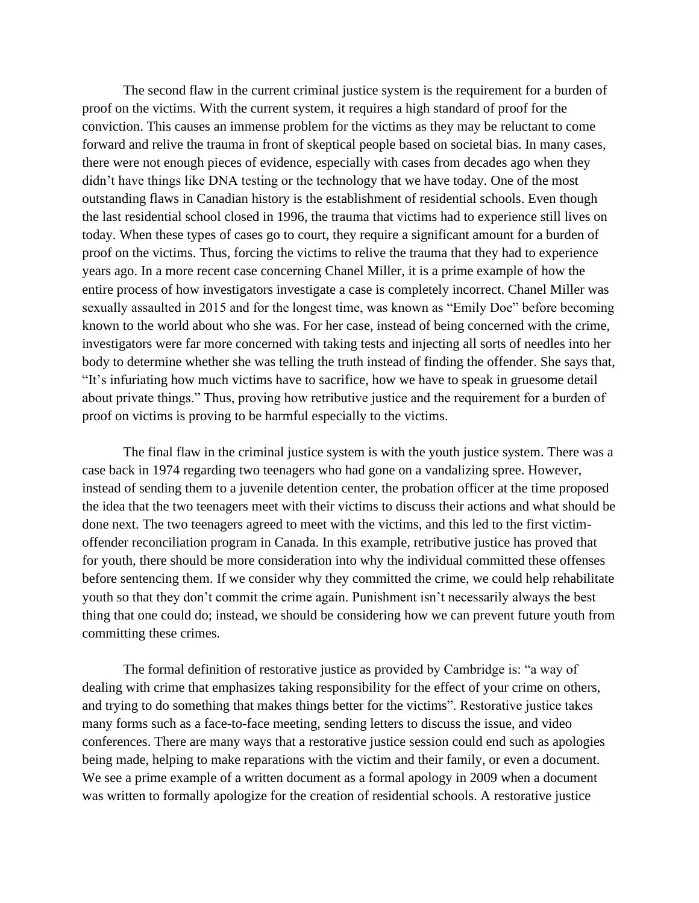The second flaw in the current criminal justice system is the requirement for a burden of proof on the victims. With the current system, it requires a high standard of proof for the conviction. This causes an immense problem for the victims as they may be reluctant to come forward and relive the trauma in front of skeptical people based on societal bias. In many cases, there were not enough pieces of evidence, especially with cases from decades ago when they didn't have things like DNA testing or the technology that we have today. One of the most outstanding flaws in Canadian history is the establishment of residential schools. Even though the last residential school closed in 1996, the trauma that victims had to experience still lives on today. When these types of cases go to court, they require a significant amount for a burden of proof on the victims. Thus, forcing the victims to relive the trauma that they had to experience years ago. In a more recent case concerning Chanel Miller, it is a prime example of how the entire process of how investigators investigate a case is completely incorrect. Chanel Miller was sexually assaulted in 2015 and for the longest time, was known as "Emily Doe" before becoming known to the world about who she was. For her case, instead of being concerned with the crime, investigators were far more concerned with taking tests and injecting all sorts of needles into her body to determine whether she was telling the truth instead of finding the offender. She says that, "It's infuriating how much victims have to sacrifice, how we have to speak in gruesome detail about private things." Thus, proving how retributive justice and the requirement for a burden of proof on victims is proving to be harmful especially to the victims.

The final flaw in the criminal justice system is with the youth justice system. There was a case back in 1974 regarding two teenagers who had gone on a vandalizing spree. However, instead of sending them to a juvenile detention center, the probation officer at the time proposed the idea that the two teenagers meet with their victims to discuss their actions and what should be done next. The two teenagers agreed to meet with the victims, and this led to the first victimoffender reconciliation program in Canada. In this example, retributive justice has proved that for youth, there should be more consideration into why the individual committed these offenses before sentencing them. If we consider why they committed the crime, we could help rehabilitate youth so that they don't commit the crime again. Punishment isn't necessarily always the best thing that one could do; instead, we should be considering how we can prevent future youth from committing these crimes.

The formal definition of restorative justice as provided by Cambridge is: "a way of [dealing](https://dictionary.cambridge.org/dictionary/english/dealing) with [crime](https://dictionary.cambridge.org/dictionary/english/crime) that [emphasizes](https://dictionary.cambridge.org/dictionary/english/emphasize) taking [responsibility](https://dictionary.cambridge.org/dictionary/english/responsibility) for the [effect](https://dictionary.cambridge.org/dictionary/english/effect) of [your](https://dictionary.cambridge.org/dictionary/english/your) [crime](https://dictionary.cambridge.org/dictionary/english/crime) on [others,](https://dictionary.cambridge.org/dictionary/english/others) and [trying](https://dictionary.cambridge.org/dictionary/english/trying) to do something that makes things [better](https://dictionary.cambridge.org/dictionary/english/better) for the [victims"](https://dictionary.cambridge.org/dictionary/english/victim). Restorative justice takes many forms such as a face-to-face meeting, sending letters to discuss the issue, and video conferences. There are many ways that a restorative justice session could end such as apologies being made, helping to make reparations with the victim and their family, or even a document. We see a prime example of a written document as a formal apology in 2009 when a document was written to formally apologize for the creation of residential schools. A restorative justice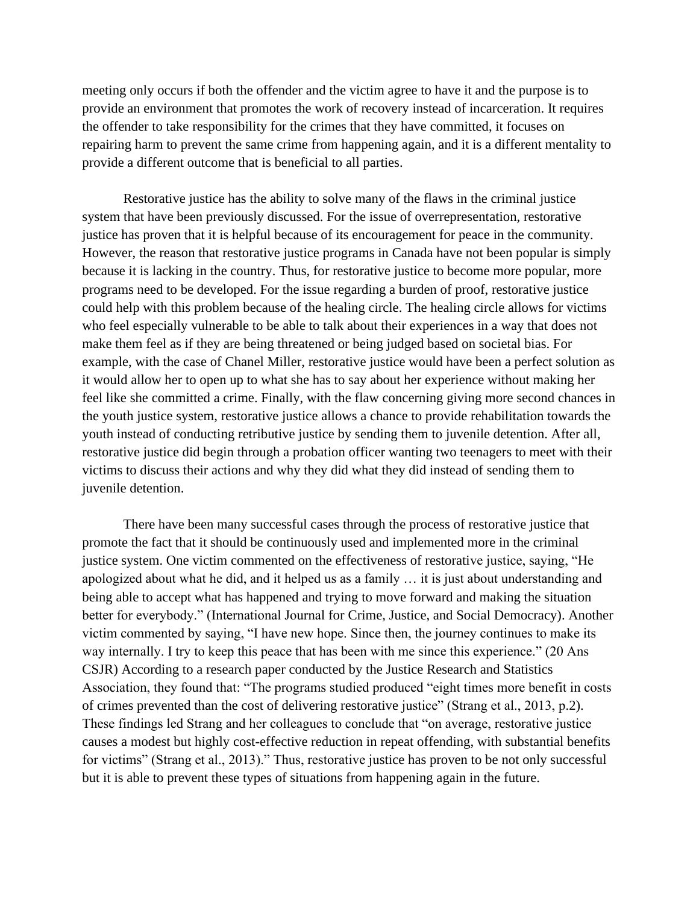meeting only occurs if both the offender and the victim agree to have it and the purpose is to provide an environment that promotes the work of recovery instead of incarceration. It requires the offender to take responsibility for the crimes that they have committed, it focuses on repairing harm to prevent the same crime from happening again, and it is a different mentality to provide a different outcome that is beneficial to all parties.

Restorative justice has the ability to solve many of the flaws in the criminal justice system that have been previously discussed. For the issue of overrepresentation, restorative justice has proven that it is helpful because of its encouragement for peace in the community. However, the reason that restorative justice programs in Canada have not been popular is simply because it is lacking in the country. Thus, for restorative justice to become more popular, more programs need to be developed. For the issue regarding a burden of proof, restorative justice could help with this problem because of the healing circle. The healing circle allows for victims who feel especially vulnerable to be able to talk about their experiences in a way that does not make them feel as if they are being threatened or being judged based on societal bias. For example, with the case of Chanel Miller, restorative justice would have been a perfect solution as it would allow her to open up to what she has to say about her experience without making her feel like she committed a crime. Finally, with the flaw concerning giving more second chances in the youth justice system, restorative justice allows a chance to provide rehabilitation towards the youth instead of conducting retributive justice by sending them to juvenile detention. After all, restorative justice did begin through a probation officer wanting two teenagers to meet with their victims to discuss their actions and why they did what they did instead of sending them to juvenile detention.

There have been many successful cases through the process of restorative justice that promote the fact that it should be continuously used and implemented more in the criminal justice system. One victim commented on the effectiveness of restorative justice, saying, "He apologized about what he did, and it helped us as a family … it is just about understanding and being able to accept what has happened and trying to move forward and making the situation better for everybody." (International Journal for Crime, Justice, and Social Democracy). Another victim commented by saying, "I have new hope. Since then, the journey continues to make its way internally. I try to keep this peace that has been with me since this experience." (20 Ans CSJR) According to a research paper conducted by the Justice Research and Statistics Association, they found that: "The programs studied produced "eight times more benefit in costs of crimes prevented than the cost of delivering restorative justice" (Strang et al., 2013, p.2). These findings led Strang and her colleagues to conclude that "on average, restorative justice causes a modest but highly cost-effective reduction in repeat offending, with substantial benefits for victims" (Strang et al., 2013)." Thus, restorative justice has proven to be not only successful but it is able to prevent these types of situations from happening again in the future.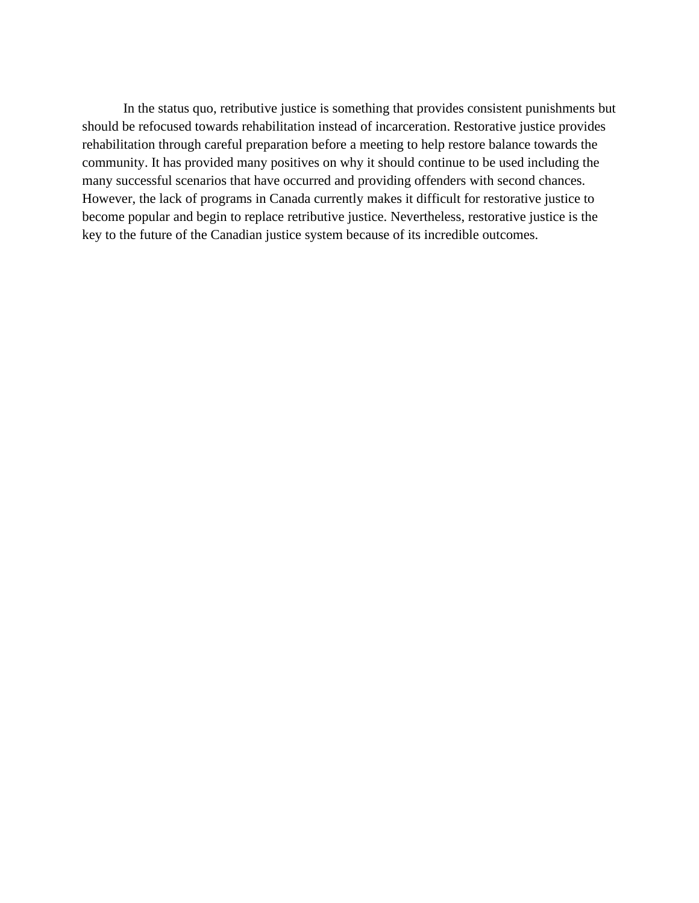In the status quo, retributive justice is something that provides consistent punishments but should be refocused towards rehabilitation instead of incarceration. Restorative justice provides rehabilitation through careful preparation before a meeting to help restore balance towards the community. It has provided many positives on why it should continue to be used including the many successful scenarios that have occurred and providing offenders with second chances. However, the lack of programs in Canada currently makes it difficult for restorative justice to become popular and begin to replace retributive justice. Nevertheless, restorative justice is the key to the future of the Canadian justice system because of its incredible outcomes.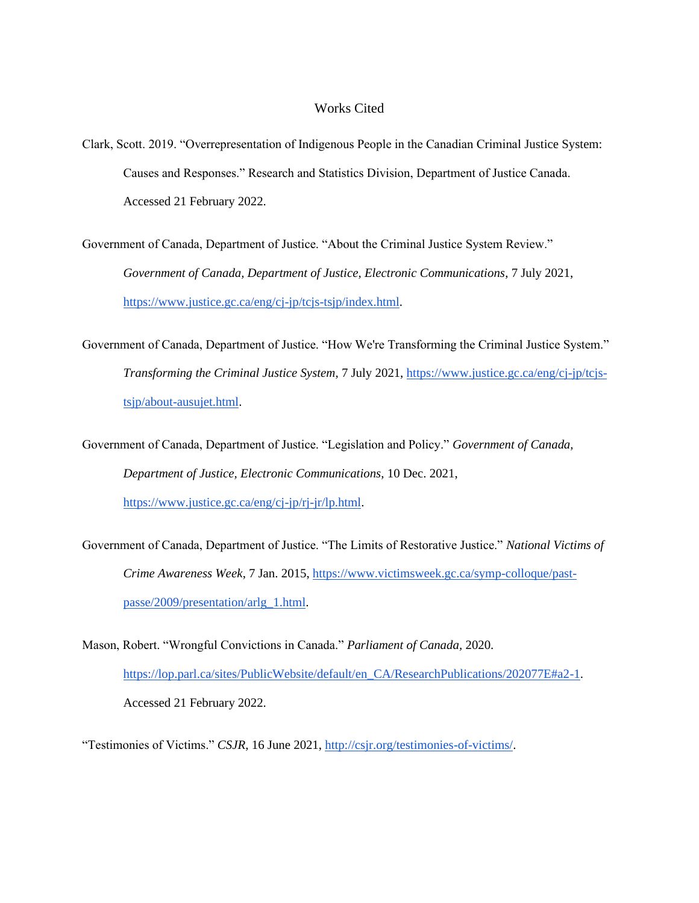## Works Cited

Clark, Scott. 2019. "Overrepresentation of Indigenous People in the Canadian Criminal Justice System: Causes and Responses." Research and Statistics Division, Department of Justice Canada. Accessed 21 February 2022.

Government of Canada, Department of Justice. "About the Criminal Justice System Review." *Government of Canada, Department of Justice, Electronic Communications*, 7 July 2021, [https://www.justice.gc.ca/eng/cj-jp/tcjs-tsjp/index.html.](https://www.justice.gc.ca/eng/cj-jp/tcjs-tsjp/index.html)

Government of Canada, Department of Justice. "How We're Transforming the Criminal Justice System." *Transforming the Criminal Justice System*, 7 July 2021, [https://www.justice.gc.ca/eng/cj-jp/tcjs](https://www.justice.gc.ca/eng/cj-jp/tcjs-tsjp/about-ausujet.html)[tsjp/about-ausujet.html.](https://www.justice.gc.ca/eng/cj-jp/tcjs-tsjp/about-ausujet.html)

Government of Canada, Department of Justice. "Legislation and Policy." *Government of Canada, Department of Justice, Electronic Communications*, 10 Dec. 2021, [https://www.justice.gc.ca/eng/cj-jp/rj-jr/lp.html.](https://www.justice.gc.ca/eng/cj-jp/rj-jr/lp.html)

Government of Canada, Department of Justice. "The Limits of Restorative Justice." *National Victims of Crime Awareness Week*, 7 Jan. 2015, [https://www.victimsweek.gc.ca/symp-colloque/past](https://www.victimsweek.gc.ca/symp-colloque/past-passe/2009/presentation/arlg_1.html)[passe/2009/presentation/arlg\\_1.html.](https://www.victimsweek.gc.ca/symp-colloque/past-passe/2009/presentation/arlg_1.html)

Mason, Robert. "Wrongful Convictions in Canada." *Parliament of Canada,* 2020. [https://lop.parl.ca/sites/PublicWebsite/default/en\\_CA/ResearchPublications/202077E#a2-1.](https://lop.parl.ca/sites/PublicWebsite/default/en_CA/ResearchPublications/202077E#a2-1) Accessed 21 February 2022.

"Testimonies of Victims." *CSJR*, 16 June 2021[, http://csjr.org/testimonies-of-victims/.](http://csjr.org/testimonies-of-victims/)